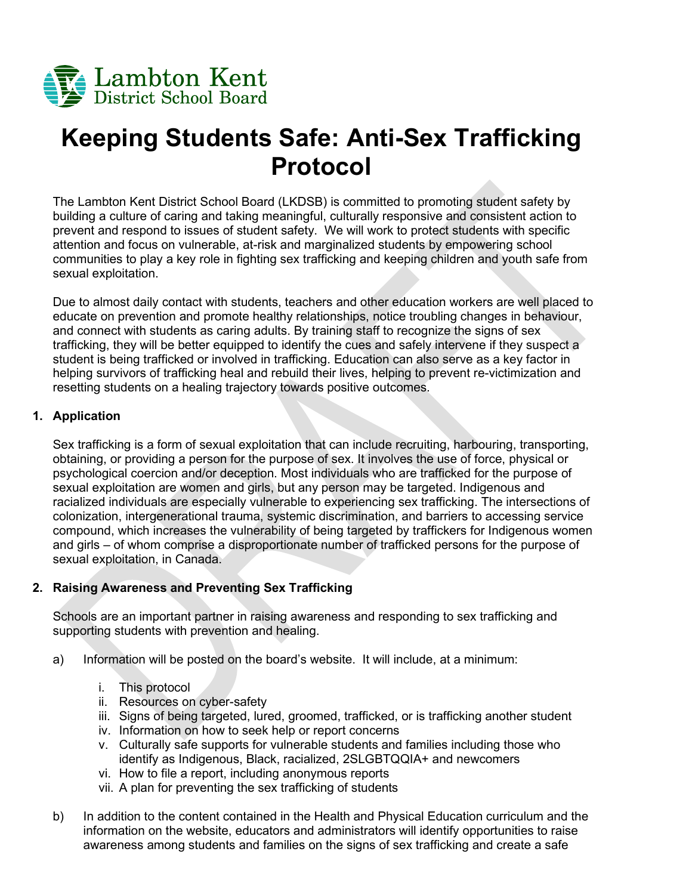

# **Keeping Students Safe: Anti-Sex Trafficking Protocol**

The Lambton Kent District School Board (LKDSB) is committed to promoting student safety by building a culture of caring and taking meaningful, culturally responsive and consistent action to prevent and respond to issues of student safety. We will work to protect students with specific attention and focus on vulnerable, at-risk and marginalized students by empowering school communities to play a key role in fighting sex trafficking and keeping children and youth safe from sexual exploitation.

Due to almost daily contact with students, teachers and other education workers are well placed to educate on prevention and promote healthy relationships, notice troubling changes in behaviour, and connect with students as caring adults. By training staff to recognize the signs of sex trafficking, they will be better equipped to identify the cues and safely intervene if they suspect a student is being trafficked or involved in trafficking. Education can also serve as a key factor in helping survivors of trafficking heal and rebuild their lives, helping to prevent re-victimization and resetting students on a healing trajectory towards positive outcomes.

#### **1. Application**

Sex trafficking is a form of sexual exploitation that can include recruiting, harbouring, transporting, obtaining, or providing a person for the purpose of sex. It involves the use of force, physical or psychological coercion and/or deception. Most individuals who are trafficked for the purpose of sexual exploitation are women and girls, but any person may be targeted. Indigenous and racialized individuals are especially vulnerable to experiencing sex trafficking. The intersections of colonization, intergenerational trauma, systemic discrimination, and barriers to accessing service compound, which increases the vulnerability of being targeted by traffickers for Indigenous women and girls – of whom comprise a disproportionate number of trafficked persons for the purpose of sexual exploitation, in Canada.

#### **2. Raising Awareness and Preventing Sex Trafficking**

Schools are an important partner in raising awareness and responding to sex trafficking and supporting students with prevention and healing.

- a) Information will be posted on the board's website. It will include, at a minimum:
	- i. This protocol
	- ii. Resources on cyber-safety
	- iii. Signs of being targeted, lured, groomed, trafficked, or is trafficking another student
	- iv. Information on how to seek help or report concerns
	- v. Culturally safe supports for vulnerable students and families including those who identify as Indigenous, Black, racialized, 2SLGBTQQIA+ and newcomers
	- vi. How to file a report, including anonymous reports
	- vii. A plan for preventing the sex trafficking of students
- b) In addition to the content contained in the Health and Physical Education curriculum and the information on the website, educators and administrators will identify opportunities to raise awareness among students and families on the signs of sex trafficking and create a safe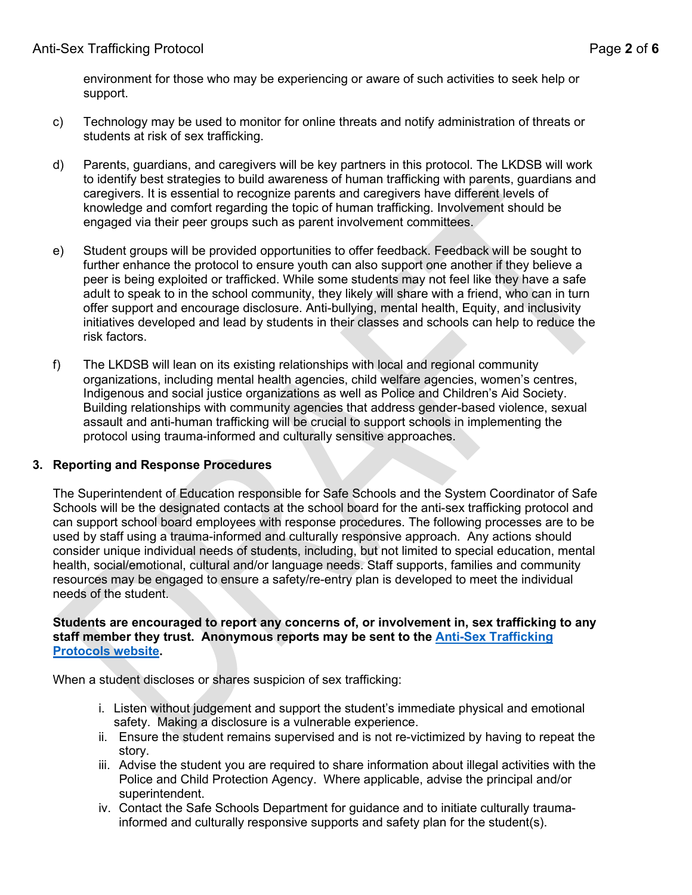environment for those who may be experiencing or aware of such activities to seek help or support.

- c) Technology may be used to monitor for online threats and notify administration of threats or students at risk of sex trafficking.
- d) Parents, guardians, and caregivers will be key partners in this protocol. The LKDSB will work to identify best strategies to build awareness of human trafficking with parents, guardians and caregivers. It is essential to recognize parents and caregivers have different levels of knowledge and comfort regarding the topic of human trafficking. Involvement should be engaged via their peer groups such as parent involvement committees.
- e) Student groups will be provided opportunities to offer feedback. Feedback will be sought to further enhance the protocol to ensure youth can also support one another if they believe a peer is being exploited or trafficked. While some students may not feel like they have a safe adult to speak to in the school community, they likely will share with a friend, who can in turn offer support and encourage disclosure. Anti-bullying, mental health, Equity, and inclusivity initiatives developed and lead by students in their classes and schools can help to reduce the risk factors.
- f) The LKDSB will lean on its existing relationships with local and regional community organizations, including mental health agencies, child welfare agencies, women's centres, Indigenous and social justice organizations as well as Police and Children's Aid Society. Building relationships with community agencies that address gender-based violence, sexual assault and anti-human trafficking will be crucial to support schools in implementing the protocol using trauma-informed and culturally sensitive approaches.

## **3. Reporting and Response Procedures**

The Superintendent of Education responsible for Safe Schools and the System Coordinator of Safe Schools will be the designated contacts at the school board for the anti-sex trafficking protocol and can support school board employees with response procedures. The following processes are to be used by staff using a trauma-informed and culturally responsive approach. Any actions should consider unique individual needs of students, including, but not limited to special education, mental health, social/emotional, cultural and/or language needs. Staff supports, families and community resources may be engaged to ensure a safety/re-entry plan is developed to meet the individual needs of the student.

#### **Students are encouraged to report any concerns of, or involvement in, sex trafficking to any staff member they trust. Anonymous reports may be sent to the [Anti-Sex Trafficking](https://www.lkdsb.net/Board/Community/SafeSchools/Anti-Sex%20Trafficking%20Protocols/Pages/default.aspx#/=)  [Protocols website.](https://www.lkdsb.net/Board/Community/SafeSchools/Anti-Sex%20Trafficking%20Protocols/Pages/default.aspx#/=)**

When a student discloses or shares suspicion of sex trafficking:

- i. Listen without judgement and support the student's immediate physical and emotional safety. Making a disclosure is a vulnerable experience.
- ii. Ensure the student remains supervised and is not re-victimized by having to repeat the story.
- iii. Advise the student you are required to share information about illegal activities with the Police and Child Protection Agency. Where applicable, advise the principal and/or superintendent.
- iv. Contact the Safe Schools Department for guidance and to initiate culturally traumainformed and culturally responsive supports and safety plan for the student(s).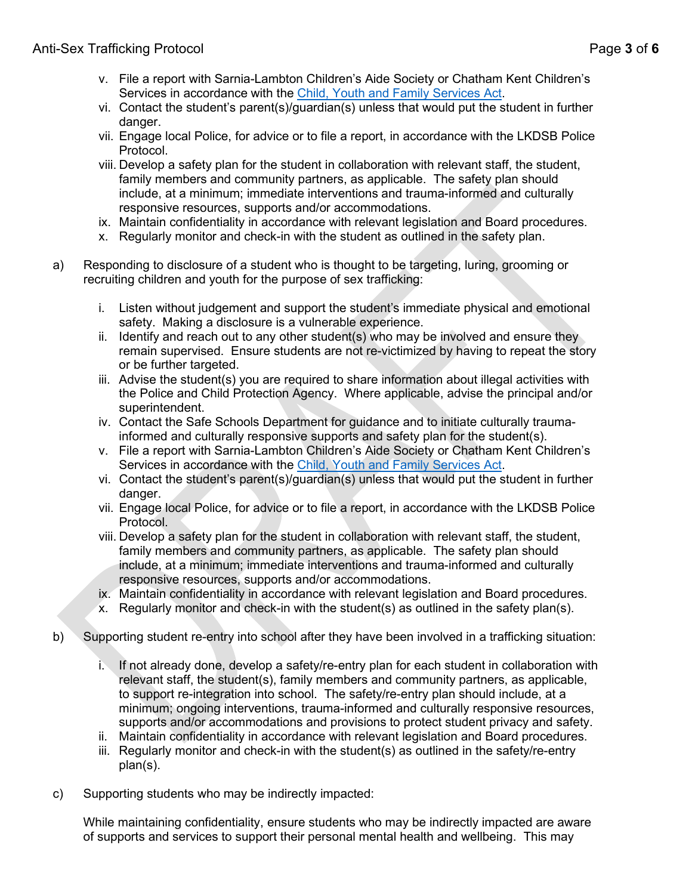- v. File a report with Sarnia-Lambton Children's Aide Society or Chatham Kent Children's Services in accordance with the [Child, Youth and Family Services Act.](https://www.ontario.ca/laws/statute/17c14)
- vi. Contact the student's parent(s)/guardian(s) unless that would put the student in further danger.
- vii. Engage local Police, for advice or to file a report, in accordance with the LKDSB Police Protocol.
- viii. Develop a safety plan for the student in collaboration with relevant staff, the student, family members and community partners, as applicable. The safety plan should include, at a minimum; immediate interventions and trauma-informed and culturally responsive resources, supports and/or accommodations.
- ix. Maintain confidentiality in accordance with relevant legislation and Board procedures.
- x. Regularly monitor and check-in with the student as outlined in the safety plan.
- a) Responding to disclosure of a student who is thought to be targeting, luring, grooming or recruiting children and youth for the purpose of sex trafficking:
	- i. Listen without judgement and support the student's immediate physical and emotional safety. Making a disclosure is a vulnerable experience.
	- ii. Identify and reach out to any other student(s) who may be involved and ensure they remain supervised. Ensure students are not re-victimized by having to repeat the story or be further targeted.
	- iii. Advise the student(s) you are required to share information about illegal activities with the Police and Child Protection Agency. Where applicable, advise the principal and/or superintendent.
	- iv. Contact the Safe Schools Department for guidance and to initiate culturally traumainformed and culturally responsive supports and safety plan for the student(s).
	- v. File a report with Sarnia-Lambton Children's Aide Society or Chatham Kent Children's Services in accordance with the [Child, Youth and Family Services Act.](https://www.ontario.ca/laws/statute/17c14)
	- vi. Contact the student's parent(s)/guardian(s) unless that would put the student in further danger.
	- vii. Engage local Police, for advice or to file a report, in accordance with the LKDSB Police Protocol.
	- viii. Develop a safety plan for the student in collaboration with relevant staff, the student, family members and community partners, as applicable. The safety plan should include, at a minimum; immediate interventions and trauma-informed and culturally responsive resources, supports and/or accommodations.
	- ix. Maintain confidentiality in accordance with relevant legislation and Board procedures.
	- x. Regularly monitor and check-in with the student(s) as outlined in the safety plan(s).
- b) Supporting student re-entry into school after they have been involved in a trafficking situation:
	- i. If not already done, develop a safety/re-entry plan for each student in collaboration with relevant staff, the student(s), family members and community partners, as applicable, to support re-integration into school. The safety/re-entry plan should include, at a minimum; ongoing interventions, trauma-informed and culturally responsive resources, supports and/or accommodations and provisions to protect student privacy and safety.
	- ii. Maintain confidentiality in accordance with relevant legislation and Board procedures.
	- iii. Regularly monitor and check-in with the student(s) as outlined in the safety/re-entry plan(s).
- c) Supporting students who may be indirectly impacted:

While maintaining confidentiality, ensure students who may be indirectly impacted are aware of supports and services to support their personal mental health and wellbeing. This may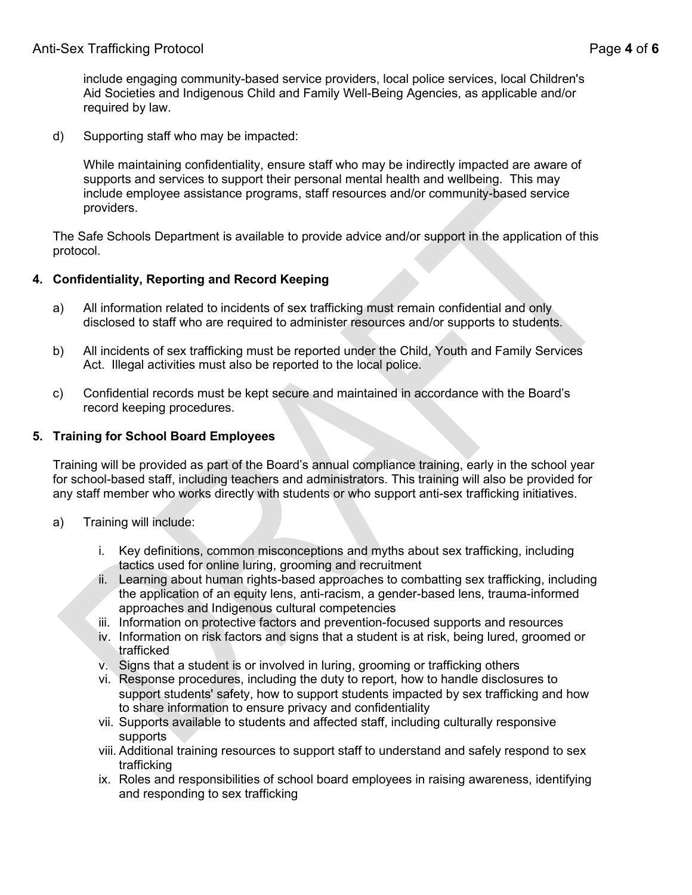include engaging community-based service providers, local police services, local Children's Aid Societies and Indigenous Child and Family Well-Being Agencies, as applicable and/or required by law.

d) Supporting staff who may be impacted:

While maintaining confidentiality, ensure staff who may be indirectly impacted are aware of supports and services to support their personal mental health and wellbeing. This may include employee assistance programs, staff resources and/or community-based service providers.

The Safe Schools Department is available to provide advice and/or support in the application of this protocol.

## **4. Confidentiality, Reporting and Record Keeping**

- a) All information related to incidents of sex trafficking must remain confidential and only disclosed to staff who are required to administer resources and/or supports to students.
- b) All incidents of sex trafficking must be reported under the Child, Youth and Family Services Act. Illegal activities must also be reported to the local police.
- c) Confidential records must be kept secure and maintained in accordance with the Board's record keeping procedures.

## **5. Training for School Board Employees**

Training will be provided as part of the Board's annual compliance training, early in the school year for school-based staff, including teachers and administrators. This training will also be provided for any staff member who works directly with students or who support anti-sex trafficking initiatives.

- a) Training will include:
	- i. Key definitions, common misconceptions and myths about sex trafficking, including tactics used for online luring, grooming and recruitment
	- ii. Learning about human rights-based approaches to combatting sex trafficking, including the application of an equity lens, anti-racism, a gender-based lens, trauma-informed approaches and Indigenous cultural competencies
	- iii. Information on protective factors and prevention-focused supports and resources
	- iv. Information on risk factors and signs that a student is at risk, being lured, groomed or trafficked
	- v. Signs that a student is or involved in luring, grooming or trafficking others
	- vi. Response procedures, including the duty to report, how to handle disclosures to support students' safety, how to support students impacted by sex trafficking and how to share information to ensure privacy and confidentiality
	- vii. Supports available to students and affected staff, including culturally responsive supports
	- viii. Additional training resources to support staff to understand and safely respond to sex trafficking
	- ix. Roles and responsibilities of school board employees in raising awareness, identifying and responding to sex trafficking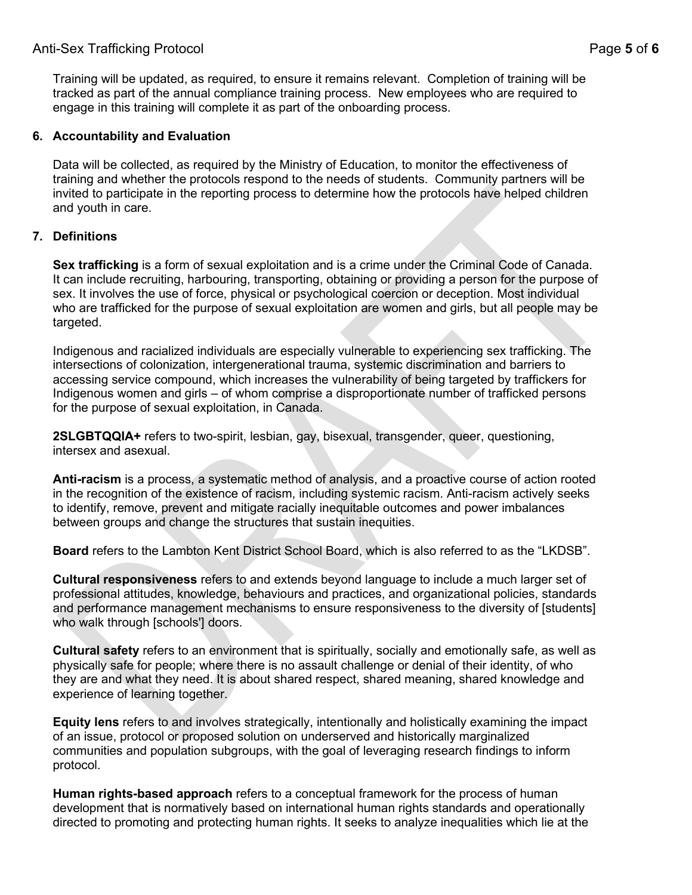## Anti-Sex Trafficking Protocol Page **5** of **6**

Training will be updated, as required, to ensure it remains relevant. Completion of training will be tracked as part of the annual compliance training process. New employees who are required to engage in this training will complete it as part of the onboarding process.

#### **6. Accountability and Evaluation**

Data will be collected, as required by the Ministry of Education, to monitor the effectiveness of training and whether the protocols respond to the needs of students. Community partners will be invited to participate in the reporting process to determine how the protocols have helped children and youth in care.

## **7. Definitions**

**Sex trafficking** is a form of sexual exploitation and is a crime under the Criminal Code of Canada. It can include recruiting, harbouring, transporting, obtaining or providing a person for the purpose of sex. It involves the use of force, physical or psychological coercion or deception. Most individual who are trafficked for the purpose of sexual exploitation are women and girls, but all people may be targeted.

Indigenous and racialized individuals are especially vulnerable to experiencing sex trafficking. The intersections of colonization, intergenerational trauma, systemic discrimination and barriers to accessing service compound, which increases the vulnerability of being targeted by traffickers for Indigenous women and girls – of whom comprise a disproportionate number of trafficked persons for the purpose of sexual exploitation, in Canada.

**2SLGBTQQIA+** refers to two-spirit, lesbian, gay, bisexual, transgender, queer, questioning, intersex and asexual.

**Anti-racism** is a process, a systematic method of analysis, and a proactive course of action rooted in the recognition of the existence of racism, including systemic racism. Anti-racism actively seeks to identify, remove, prevent and mitigate racially inequitable outcomes and power imbalances between groups and change the structures that sustain inequities.

**Board** refers to the Lambton Kent District School Board, which is also referred to as the "LKDSB".

**Cultural responsiveness** refers to and extends beyond language to include a much larger set of professional attitudes, knowledge, behaviours and practices, and organizational policies, standards and performance management mechanisms to ensure responsiveness to the diversity of [students] who walk through [schools'] doors.

**Cultural safety** refers to an environment that is spiritually, socially and emotionally safe, as well as physically safe for people; where there is no assault challenge or denial of their identity, of who they are and what they need. It is about shared respect, shared meaning, shared knowledge and experience of learning together.

**Equity lens** refers to and involves strategically, intentionally and holistically examining the impact of an issue, protocol or proposed solution on underserved and historically marginalized communities and population subgroups, with the goal of leveraging research findings to inform protocol.

**Human rights-based approach** refers to a conceptual framework for the process of human development that is normatively based on international human rights standards and operationally directed to promoting and protecting human rights. It seeks to analyze inequalities which lie at the